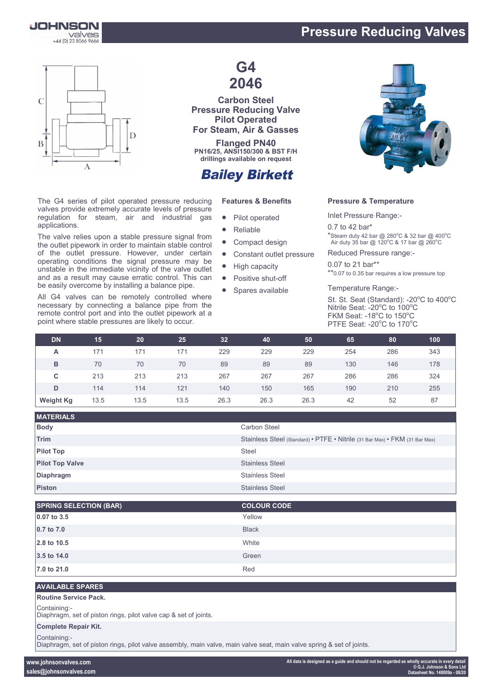

## **Pressure Reducing Valves**



The G4 series of pilot operated pressure reducing valves provide extremely accurate levels of pressure regulation for steam, air and industrial gas applications.

The valve relies upon a stable pressure signal from the outlet pipework in order to maintain stable control of the outlet pressure. However, under certain operating conditions the signal pressure may be unstable in the immediate vicinity of the valve outlet and as a result may cause erratic control. This can be easily overcome by installing a balance pipe.

All G4 valves can be remotely controlled where necessary by connecting a balance pipe from the remote control port and into the outlet pipework at a point where stable pressures are likely to occur.

# **G4 2046**

**Carbon Steel Pressure Reducing Valve Pilot Operated For Steam, Air & Gasses**

**Flanged PN40 PN16/25, ANSI150/300 & BST F/H drillings available on request**

# **Bailey Birkett**

### **Features & Benefits**

- Pilot operated
- Reliable
- Compact design
- Constant outlet pressure
- High capacity
- Positive shut-off
- Spares available



## **Pressure & Temperature**

Inlet Pressure Range:-

0.7 to 42 bar\*  $*$ Steam duty 42 bar @ 280 $^{\circ}$ C & 32 bar @ 400 $^{\circ}$ C Air duty 35 bar @ 120 $^{\circ}$ C & 17 bar @ 260 $^{\circ}$ C

Reduced Pressure range:-

0.07 to 21 bar\*\* \*\*0.07 to 0.35 bar requires a low pressure top

Temperature Range:-

St. St. Seat (Standard): -20°C to 400°C Nitrile Seat: - 20°C to 100°C FKM Seat: -18°C to 150°C PTFE Seat: -20°C to 170°C

| <b>DN</b>        | 15   | 20   | 25   | 32   | 40   | 50   | 65  | 80  | 100 |
|------------------|------|------|------|------|------|------|-----|-----|-----|
| А                | 171  | 171  | 171  | 229  | 229  | 229  | 254 | 286 | 343 |
| в                | 70   | 70   | 70   | 89   | 89   | 89   | 130 | 146 | 178 |
| C                | 213  | 213  | 213  | 267  | 267  | 267  | 286 | 286 | 324 |
| D                | 114  | 114  | 121  | 140  | 150  | 165  | 190 | 210 | 255 |
| <b>Weight Kg</b> | 13.5 | 13.5 | 13.5 | 26.3 | 26.3 | 26.3 | 42  | 52  | 87  |

| <b>MATERIALS</b>       |                                                                             |
|------------------------|-----------------------------------------------------------------------------|
| <b>Body</b>            | <b>Carbon Steel</b>                                                         |
| Trim                   | Stainless Steel (Standard) • PTFE • Nitrile (31 Bar Max) • FKM (31 Bar Max) |
| <b>Pilot Top</b>       | <b>Steel</b>                                                                |
| <b>Pilot Top Valve</b> | <b>Stainless Steel</b>                                                      |
| <b>Diaphragm</b>       | <b>Stainless Steel</b>                                                      |
| Piston                 | <b>Stainless Steel</b>                                                      |

| <b>SPRING SELECTION (BAR)</b> | <b>COLOUR CODE</b> |
|-------------------------------|--------------------|
| 0.07 to 3.5                   | Yellow             |
| 0.7 to 7.0                    | <b>Black</b>       |
| 2.8 to 10.5                   | White              |
| 3.5 to 14.0                   | Green              |
| 7.0 to 21.0                   | Red                |

#### **AVAILABLE SPARES**

#### **Routine Service Pack.**

Containing:-

Diaphragm, set of piston rings, pilot valve cap & set of joints.

#### **Complete Repair Kit.**

Containing:-

Diaphragm, set of piston rings, pilot valve assembly, main valve, main valve seat, main valve spring & set of joints.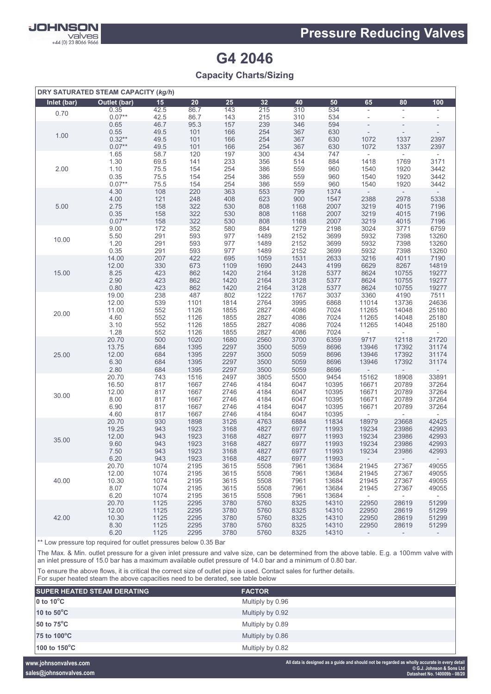

# **G4 2046**

**Capacity Charts/Sizing**

| DRY SATURATED STEAM CAPACITY (kg/h) |               |              |              |              |              |              |                |                          |                          |                          |
|-------------------------------------|---------------|--------------|--------------|--------------|--------------|--------------|----------------|--------------------------|--------------------------|--------------------------|
| Inlet (bar)                         | Outlet (bar)  | 15           | 20           | 25           | 32           | 40           | 50             | 65                       | 80                       | 100                      |
| 0.70                                | 0.35          | 42.5         | 86.7         | 143          | 215          | 310          | 534            | $\overline{\phantom{a}}$ | $\overline{\phantom{a}}$ | $\overline{\phantom{a}}$ |
|                                     | $0.07**$      | 42.5         | 86.7         | 143          | 215          | 310          | 534            | $\overline{\phantom{a}}$ | L,                       |                          |
|                                     | 0.65          | 46.7         | 95.3         | 157          | 239          | 346          | 594            | $\overline{a}$           | ÷,                       |                          |
| 1.00                                | 0.55          | 49.5         | 101          | 166          | 254          | 367          | 630            |                          |                          |                          |
|                                     | $0.32**$      | 49.5         | 101          | 166          | 254          | 367          | 630            | 1072                     | 1337                     | 2397                     |
|                                     | $0.07**$      | 49.5         | 101          | 166          | 254          | 367          | 630            | 1072                     | 1337                     | 2397                     |
|                                     | 1.65          | 58.7         | 120          | 197          | 300          | 434          | 747            | $\overline{\phantom{a}}$ | $\sim$                   | $\sim$                   |
|                                     | 1.30          | 69.5         | 141          | 233          | 356          | 514          | 884            | 1418                     | 1769                     | 3171                     |
| 2.00                                | 1.10          | 75.5         | 154          | 254          | 386          | 559          | 960            | 1540                     | 1920                     | 3442                     |
|                                     | 0.35          | 75.5         | 154          | 254          | 386          | 559          | 960            | 1540                     | 1920                     | 3442                     |
|                                     | $0.07**$      | 75.5         | 154          | 254          | 386          | 559          | 960            | 1540                     | 1920                     | 3442                     |
|                                     | 4.30          | 108          | 220          | 363          | 553          | 799          | 1374           | $\overline{\phantom{a}}$ | $\sim$                   |                          |
|                                     | 4.00          | 121<br>158   | 248          | 408          | 623          | 900<br>1168  | 1547<br>2007   | 2388                     | 2978                     | 5338<br>7196             |
| 5.00                                | 2.75<br>0.35  | 158          | 322<br>322   | 530<br>530   | 808<br>808   | 1168         | 2007           | 3219<br>3219             | 4015<br>4015             | 7196                     |
|                                     | $0.07**$      | 158          | 322          | 530          | 808          | 1168         | 2007           | 3219                     | 4015                     | 7196                     |
|                                     | 9.00          | 172          | 352          | 580          | 884          | 1279         | 2198           | 3024                     | 3771                     | 6759                     |
|                                     | 5.50          | 291          | 593          | 977          | 1489         | 2152         | 3699           | 5932                     | 7398                     | 13260                    |
| 10.00                               | 1.20          | 291          | 593          | 977          | 1489         | 2152         | 3699           | 5932                     | 7398                     | 13260                    |
|                                     | 0.35          | 291          | 593          | 977          | 1489         | 2152         | 3699           | 5932                     | 7398                     | 13260                    |
|                                     | 14.00         | 207          | 422          | 695          | 1059         | 1531         | 2633           | 3216                     | 4011                     | 7190                     |
|                                     | 12.00         | 330          | 673          | 1109         | 1690         | 2443         | 4199           | 6629                     | 8267                     | 14819                    |
| 15.00                               | 8.25          | 423          | 862          | 1420         | 2164         | 3128         | 5377           | 8624                     | 10755                    | 19277                    |
|                                     | 2.90          | 423          | 862          | 1420         | 2164         | 3128         | 5377           | 8624                     | 10755                    | 19277                    |
|                                     | 0.80          | 423          | 862          | 1420         | 2164         | 3128         | 5377           | 8624                     | 10755                    | 19277                    |
|                                     | 19.00         | 238          | 487          | 802          | 1222         | 1767         | 3037           | 3360                     | 4190                     | 7511                     |
|                                     | 12.00         | 539          | 1101         | 1814         | 2764         | 3995         | 6868           | 11014                    | 13736                    | 24636                    |
| 20.00                               | 11.00         | 552          | 1126         | 1855         | 2827         | 4086         | 7024           | 11265                    | 14048                    | 25180                    |
|                                     | 4.60          | 552          | 1126         | 1855         | 2827         | 4086         | 7024           | 11265                    | 14048                    | 25180                    |
|                                     | 3.10          | 552          | 1126         | 1855         | 2827         | 4086         | 7024           | 11265                    | 14048                    | 25180                    |
|                                     | 1.28          | 552          | 1126         | 1855         | 2827         | 4086         | 7024           | $\overline{\phantom{a}}$ |                          |                          |
|                                     | 20.70         | 500          | 1020         | 1680         | 2560         | 3700         | 6359           | 9717                     | 12118                    | 21720                    |
|                                     | 13.75         | 684<br>684   | 1395<br>1395 | 2297<br>2297 | 3500<br>3500 | 5059<br>5059 | 8696<br>8696   | 13946                    | 17392<br>17392           | 31174                    |
| 25.00                               | 12.00<br>6.30 | 684          | 1395         | 2297         | 3500         | 5059         | 8696           | 13946<br>13946           | 17392                    | 31174<br>31174           |
|                                     | 2.80          | 684          | 1395         | 2297         | 3500         | 5059         | 8696           |                          |                          |                          |
|                                     | 20.70         | 743          | 1516         | 2497         | 3805         | 5500         | 9454           | 15162                    | 18908                    | 33891                    |
|                                     | 16.50         | 817          | 1667         | 2746         | 4184         | 6047         | 10395          | 16671                    | 20789                    | 37264                    |
|                                     | 12.00         | 817          | 1667         | 2746         | 4184         | 6047         | 10395          | 16671                    | 20789                    | 37264                    |
| 30.00                               | 8.00          | 817          | 1667         | 2746         | 4184         | 6047         | 10395          | 16671                    | 20789                    | 37264                    |
|                                     | 6.90          | 817          | 1667         | 2746         | 4184         | 6047         | 10395          | 16671                    | 20789                    | 37264                    |
|                                     | 4.60          | 817          | 1667         | 2746         | 4184         | 6047         | 10395          | $\overline{\phantom{a}}$ |                          |                          |
|                                     | 20.70         | 930          | 1898         | 3126         | 4763         | 6884         | 11834          | 18979                    | 23668                    | 42425                    |
|                                     | 19.25         | 943          | 1923         | 3168         | 4827         | 6977         | 11993          | 19234                    | 23986                    | 42993                    |
| 35.00                               | 12.00         | 943          | 1923         | 3168         | 4827         | 6977         | 11993          | 19234                    | 23986                    | 42993                    |
|                                     | 9.60          | 943          | 1923         | 3168         | 4827         | 6977         | 11993          | 19234                    | 23986                    | 42993                    |
|                                     | 7.50          | 943          | 1923         | 3168         | 4827         | 6977         | 11993          | 19234                    | 23986                    | 42993                    |
|                                     | 6.20          | 943          | 1923         | 3168         | 4827         | 6977         | 11993          | $\sim$ 100 $\sim$        | $\sim$                   |                          |
|                                     | 20.70         | 1074         | 2195         | 3615         | 5508         | 7961         | 13684          | 21945                    | 27367                    | 49055                    |
|                                     | 12.00         | 1074         | 2195         | 3615         | 5508         | 7961         | 13684          | 21945                    | 27367                    | 49055                    |
| 40.00                               | 10.30         | 1074         | 2195         | 3615         | 5508         | 7961         | 13684          | 21945                    | 27367                    | 49055                    |
|                                     | 8.07<br>6.20  | 1074<br>1074 | 2195<br>2195 | 3615<br>3615 | 5508<br>5508 | 7961<br>7961 | 13684<br>13684 | 21945<br>$\sim$          | 27367<br>$\sim$          | 49055<br>$\sim$          |
|                                     | 20.70         | 1125         | 2295         | 3780         | 5760         | 8325         | 14310          | 22950                    | 28619                    | 51299                    |
|                                     | 12.00         | 1125         | 2295         | 3780         | 5760         | 8325         | 14310          | 22950                    | 28619                    | 51299                    |
| 42.00                               | 10.30         | 1125         | 2295         | 3780         | 5760         | 8325         | 14310          | 22950                    | 28619                    | 51299                    |
|                                     | 8.30          | 1125         | 2295         | 3780         | 5760         | 8325         | 14310          | 22950                    | 28619                    | 51299                    |
|                                     | 6.20          | 1125         | 2295         | 3780         | 5760         | 8325         | 14310          | $\overline{\phantom{a}}$ | $\overline{\phantom{a}}$ | $\overline{\phantom{a}}$ |

\*\* Low pressure top required for outlet pressures below 0.35 Bar

The Max. & Min. outlet pressure for a given inlet pressure and valve size, can be determined from the above table. E.g. a 100mm valve with an inlet pressure of 15.0 bar has a maximum available outlet pressure of 14.0 bar and a minimum of 0.80 bar.

To ensure the above flows, it is critical the correct size of outlet pipe is used. Contact sales for further details.

For super heated steam the above capacities need to be derated, see table below

| <b>SUPER HEATED STEAM DERATING</b>   | <b>FACTOR</b>    |  |
|--------------------------------------|------------------|--|
| $\vert$ 0 to 10 $\mathrm{^{\circ}C}$ | Multiply by 0.96 |  |
| 10 to 50°C                           | Multiply by 0.92 |  |
| 50 to $75^{\circ}$ C                 | Multiply by 0.89 |  |
| 75 to 100°C                          | Multiply by 0.86 |  |
| 100 to 150°C                         | Multiply by 0.82 |  |